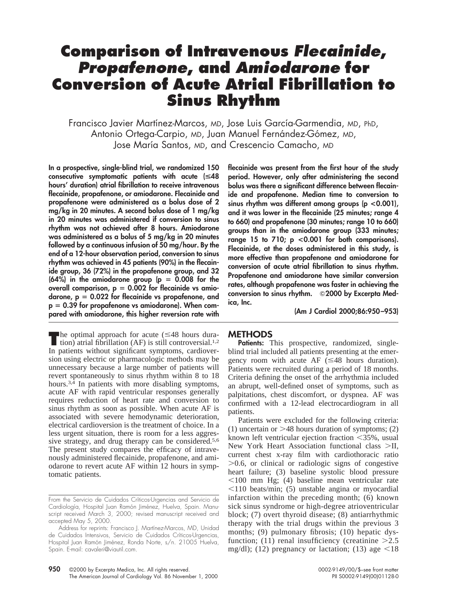## **Comparison of Intravenous Flecainide, Propafenone, and Amiodarone for Conversion of Acute Atrial Fibrillation to Sinus Rhythm**

Francisco Javier Martínez-Marcos, MD, Jose Luis García-Garmendia, MD, PhD, Antonio Ortega-Carpio, MD, Juan Manuel Fernández-Gómez, MD, Jose María Santos, MD, and Crescencio Camacho, MD

**In a prospective, single-blind trial, we randomized 150 consecutive symptomatic patients with acute (**<**48 hours' duration) atrial fibrillation to receive intravenous flecainide, propafenone, or amiodarone. Flecainide and propafenone were administered as a bolus dose of 2 mg/kg in 20 minutes. A second bolus dose of 1 mg/kg in 20 minutes was administered if conversion to sinus rhythm was not achieved after 8 hours. Amiodarone was administered as a bolus of 5 mg/kg in 20 minutes followed by a continuous infusion of 50 mg/hour. By the end of a 12-hour observation period, conversion to sinus rhythm was achieved in 45 patients (90%) in the flecainide group, 36 (72%) in the propafenone group, and 32**  $(64\%)$  in the amiodarone group  $(p = 0.008$  for the **overall comparison, p** 5 **0.002 for flecainide vs amio**darone,  $p = 0.022$  for flecainide vs propafenone, and **p** 5 **0.39 for propafenone vs amiodarone). When compared with amiodarone, this higher reversion rate with**

**T**he optimal approach for acute  $(\leq 48$  hours dura-<br>tion) atrial fibrillation (AF) is still controversial.<sup>1,2</sup> In patients without significant symptoms, cardioversion using electric or pharmacologic methods may be unnecessary because a large number of patients will revert spontaneously to sinus rhythm within 8 to 18 hours.<sup>3,4</sup> In patients with more disabling symptoms, acute AF with rapid ventricular responses generally requires reduction of heart rate and conversion to sinus rhythm as soon as possible. When acute AF is associated with severe hemodynamic deterioration, electrical cardioversion is the treatment of choice. In a less urgent situation, there is room for a less aggressive strategy, and drug therapy can be considered.<sup>5,6</sup> The present study compares the efficacy of intravenously administered flecainide, propafenone, and amiodarone to revert acute AF within 12 hours in symptomatic patients.

**flecainide was present from the first hour of the study period. However, only after administering the second bolus was there a significant difference between flecainide and propafenone. Median time to conversion to sinus rhythm was different among groups (p <0.001), and it was lower in the flecainide (25 minutes; range 4 to 660) and propafenone (30 minutes; range 10 to 660) groups than in the amiodarone group (333 minutes; range 15 to 710; p <0.001 for both comparisons). Flecainide, at the doses administered in this study, is more effective than propafenone and amiodarone for conversion of acute atrial fibrillation to sinus rhythm. Propafenone and amiodarone have similar conversion rates, although propafenone was faster in achieving the** conversion to sinus rhythm.  $\odot$ 2000 by Excerpta Med**ica, Inc.**

**(Am J Cardiol 2000;86:950–953)**

## **METHODS**

Patients: This prospective, randomized, singleblind trial included all patients presenting at the emergency room with acute AF  $(\leq 48$  hours duration). Patients were recruited during a period of 18 months. Criteria defining the onset of the arrhythmia included an abrupt, well-defined onset of symptoms, such as palpitations, chest discomfort, or dyspnea. AF was confirmed with a 12-lead electrocardiogram in all patients.

Patients were excluded for the following criteria: (1) uncertain or  $>48$  hours duration of symptoms; (2) known left ventricular ejection fraction  $\leq 35\%$ , usual New York Heart Association functional class  $>II$ . current chest x-ray film with cardiothoracic ratio  $>0.6$ , or clinical or radiologic signs of congestive heart failure; (3) baseline systolic blood pressure  $<$ 100 mm Hg; (4) baseline mean ventricular rate  $\leq$ 110 beats/min; (5) unstable angina or myocardial infarction within the preceding month; (6) known sick sinus syndrome or high-degree atrioventricular block; (7) overt thyroid disease; (8) antiarrhythmic therapy with the trial drugs within the previous 3 months; (9) pulmonary fibrosis; (10) hepatic dysfunction; (11) renal insufficiency (creatinine  $>2.5$ mg/dl); (12) pregnancy or lactation; (13) age  $\leq 18$ 

From the Servicio de Cuidados Críticos-Urgencias and Servicio de Cardiología, Hospital Juan Ramón Jiménez, Huelva, Spain. Manuscript received March 3, 2000; revised manuscript received and accepted May 5, 2000.

Address for reprints: Francisco J. Martínez-Marcos, MD, Unidad de Cuidados Intensivos, Servicio de Cuidados Críticos-Urgencias, Hospital Juan Ramón Jiménez, Ronda Norte, s/n. 21005 Huelva, Spain. E-mail: cavaleri@viautil.com.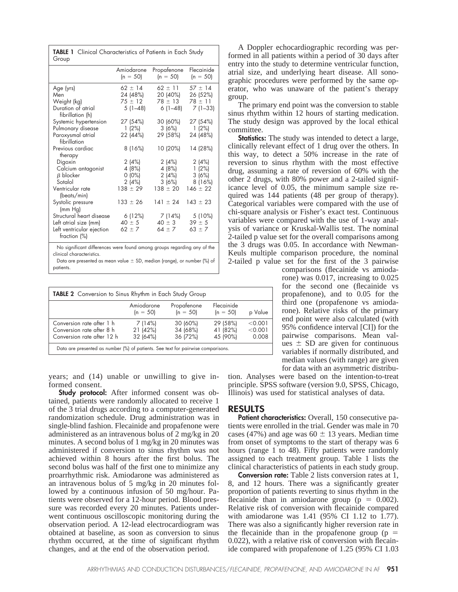| TABLE 1 Clinical Characteristics of Patients in Each Study<br>Group                                                                          |                                                                                      |                                                                                      |                                                                                      |
|----------------------------------------------------------------------------------------------------------------------------------------------|--------------------------------------------------------------------------------------|--------------------------------------------------------------------------------------|--------------------------------------------------------------------------------------|
|                                                                                                                                              | Amiodarone<br>$(n = 50)$                                                             | Propafenone<br>$(n = 50)$                                                            | Flecainide<br>$(n = 50)$                                                             |
| Age (yrs)<br>Men<br>Weight (kg)<br>Duration of atrial<br>fibrillation (h)<br>Systemic hypertension<br>Pulmonary disease<br>Paroxysmal atrial | $62 \pm 14$<br>24 (48%)<br>$75 \pm 12$<br>$5(1-48)$<br>27 (54%)<br>1(2%)<br>22 (44%) | $62 \pm 11$<br>20 (40%)<br>$78 \pm 13$<br>$6(1-48)$<br>30 (60%)<br>3(6%)<br>29 (58%) | $57 \pm 14$<br>26 (52%)<br>$78 \pm 11$<br>$7(1-33)$<br>27 (54%)<br>1(2%)<br>24 (48%) |
| fibrillation<br>Previous cardiac<br>therapy                                                                                                  | 8 (16%)                                                                              | 10 (20%)                                                                             | 14 (28%)                                                                             |
| Digoxin<br>Calcium antagonist<br>$\beta$ blocker<br>Sotalol                                                                                  | 2(4%)<br>4 (8%)<br>$0(0\%)$<br>2(4%)                                                 | 2(4%)<br>4 (8%)<br>2(4%)<br>3 (6%)                                                   | 2(4%)<br>1(2%)<br>3(6%)<br>8(16%)                                                    |
| Ventricular rate<br>(beats/min)                                                                                                              | $138 \pm 29$                                                                         | $138 \pm 20$                                                                         | $146 \pm 22$                                                                         |
| Systolic pressure<br>(mm Hg)                                                                                                                 | $133 \pm 26$                                                                         | $141 \pm 24$                                                                         | $143 \pm 23$                                                                         |
| Structural heart disease<br>Left atrial size (mm)<br>Left ventricular ejection<br>fraction (%)                                               | 6 (12%)<br>$40 \pm 5$<br>$62 \pm 7$                                                  | 7 (14%)<br>$40 \pm 3$<br>$64 \pm 7$                                                  | 5 (10%)<br>$39 \pm 5$<br>$63 \pm 7$                                                  |
| Nia stantfranak aliffenen ere minne famuel anerane minimer nemandtare man af klar                                                            |                                                                                      |                                                                                      |                                                                                      |

No significant differences were found among groups regarding any of the clinical characteristics.

Data are presented as mean value  $\pm$  SD, median (range), or number (%) of patients.

| <b>TABLE 2</b> Conversion to Sinus Rhythm in Each Study Group                        |                                |                                  |                                  |                             |
|--------------------------------------------------------------------------------------|--------------------------------|----------------------------------|----------------------------------|-----------------------------|
|                                                                                      | Amiodarone<br>$(n = 50)$       | Propafenone<br>$(n = 50)$        | Flecainide<br>$(n = 50)$         | p Value                     |
| Conversion rate after 1 h<br>Conversion rate after 8 h<br>Conversion rate after 12 h | 7(14%)<br>21 (42%)<br>32 (64%) | 30 (60%)<br>34 (68%)<br>36 (72%) | 29 (58%)<br>41 (82%)<br>45 (90%) | < 0.001<br>< 0.001<br>0.008 |
| Data are presented as number (%) of patients. See text for pairwise comparisons.     |                                |                                  |                                  |                             |

years; and (14) unable or unwilling to give informed consent.

**Study protocol:** After informed consent was obtained, patients were randomly allocated to receive 1 of the 3 trial drugs according to a computer-generated randomization schedule. Drug administration was in single-blind fashion. Flecainide and propafenone were administered as an intravenous bolus of 2 mg/kg in 20 minutes. A second bolus of 1 mg/kg in 20 minutes was administered if conversion to sinus rhythm was not achieved within 8 hours after the first bolus. The second bolus was half of the first one to minimize any proarrhythmic risk. Amiodarone was administered as an intravenous bolus of 5 mg/kg in 20 minutes followed by a continuous infusion of 50 mg/hour. Patients were observed for a 12-hour period. Blood pressure was recorded every 20 minutes. Patients underwent continuous oscilloscopic monitoring during the observation period. A 12-lead electrocardiogram was obtained at baseline, as soon as conversion to sinus rhythm occurred, at the time of significant rhythm changes, and at the end of the observation period.

A Doppler echocardiographic recording was performed in all patients within a period of 30 days after entry into the study to determine ventricular function, atrial size, and underlying heart disease. All sonographic procedures were performed by the same operator, who was unaware of the patient's therapy group.

The primary end point was the conversion to stable sinus rhythm within 12 hours of starting medication. The study design was approved by the local ethical committee.

**Statistics:** The study was intended to detect a large, clinically relevant effect of 1 drug over the others. In this way, to detect a 50% increase in the rate of reversion to sinus rhythm with the most effective drug, assuming a rate of reversion of 60% with the other 2 drugs, with 80% power and a 2-tailed significance level of 0.05, the minimum sample size required was 144 patients (48 per group of therapy). Categorical variables were compared with the use of chi-square analysis or Fisher's exact test. Continuous variables were compared with the use of 1-way analysis of variance or Kruskal-Wallis test. The nominal 2-tailed p value set for the overall comparisons among the 3 drugs was 0.05. In accordance with Newman-Keuls multiple comparison procedure, the nominal 2-tailed p value set for the first of the 3 pairwise

> comparisons (flecainide vs amiodarone) was 0.017, increasing to 0.025 for the second one (flecainide vs propafenone), and to 0.05 for the third one (propafenone vs amiodarone). Relative risks of the primary end point were also calculated (with 95% confidence interval [CI]) for the pairwise comparisons. Mean values  $\pm$  SD are given for continuous variables if normally distributed, and median values (with range) are given for data with an asymmetric distribu-

tion. Analyses were based on the intention-to-treat principle. SPSS software (version 9.0, SPSS, Chicago, Illinois) was used for statistical analyses of data.

## **RESULTS**

**Patient characteristics:** Overall, 150 consecutive patients were enrolled in the trial. Gender was male in 70 cases (47%) and age was  $60 \pm 13$  years. Median time from onset of symptoms to the start of therapy was 6 hours (range 1 to 48). Fifty patients were randomly assigned to each treatment group. Table 1 lists the clinical characteristics of patients in each study group.

**Conversion rate:** Table 2 lists conversion rates at 1, 8, and 12 hours. There was a significantly greater proportion of patients reverting to sinus rhythm in the flecainide than in amiodarone group ( $p = 0.002$ ). Relative risk of conversion with flecainide compared with amiodarone was 1.41 (95% CI 1.12 to 1.77). There was also a significantly higher reversion rate in the flecainide than in the propafenone group ( $p =$ 0.022), with a relative risk of conversion with flecainide compared with propafenone of 1.25 (95% CI 1.03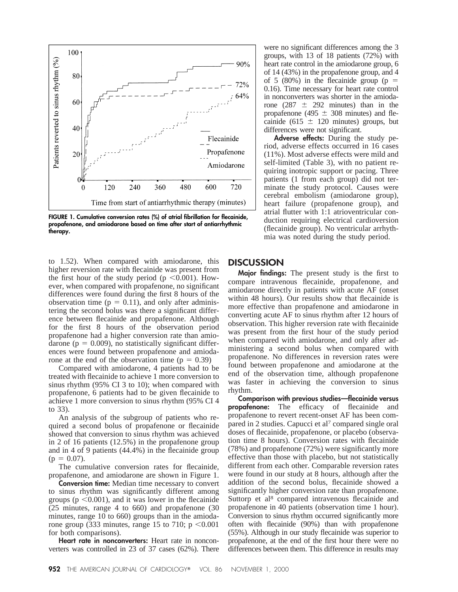

**FIGURE 1. Cumulative conversion rates (%) of atrial fibrillation for flecainide, propafenone, and amiodarone based on time after start of antiarrhythmic therapy.**

to 1.52). When compared with amiodarone, this higher reversion rate with flecainide was present from the first hour of the study period ( $p \le 0.001$ ). However, when compared with propafenone, no significant differences were found during the first 8 hours of the observation time ( $p = 0.11$ ), and only after administering the second bolus was there a significant difference between flecainide and propafenone. Although for the first 8 hours of the observation period propafenone had a higher conversion rate than amiodarone ( $p = 0.009$ ), no statistically significant differences were found between propafenone and amiodarone at the end of the observation time  $(p = 0.39)$ 

Compared with amiodarone, 4 patients had to be treated with flecainide to achieve 1 more conversion to sinus rhythm (95% CI 3 to 10); when compared with propafenone, 6 patients had to be given flecainide to achieve 1 more conversion to sinus rhythm (95% CI 4 to 33).

An analysis of the subgroup of patients who required a second bolus of propafenone or flecainide showed that conversion to sinus rhythm was achieved in 2 of 16 patients (12.5%) in the propafenone group and in 4 of 9 patients (44.4%) in the flecainide group  $(p = 0.07)$ .

The cumulative conversion rates for flecainide, propafenone, and amiodarone are shown in Figure 1.

**Conversion time:** Median time necessary to convert to sinus rhythm was significantly different among groups ( $p \le 0.001$ ), and it was lower in the flecainide (25 minutes, range 4 to 660) and propafenone (30 minutes, range 10 to 660) groups than in the amiodarone group (333 minutes, range 15 to 710;  $p \le 0.001$ for both comparisons).

**Heart rate in nonconverters:** Heart rate in nonconverters was controlled in 23 of 37 cases (62%). There were no significant differences among the 3 groups, with 13 of 18 patients (72%) with heart rate control in the amiodarone group, 6 of 14 (43%) in the propafenone group, and 4 of 5 (80%) in the flecainide group ( $p =$ 0.16). Time necessary for heart rate control in nonconverters was shorter in the amiodarone (287  $\pm$  292 minutes) than in the propafenone (495  $\pm$  308 minutes) and flecainide (615  $\pm$  120 minutes) groups, but differences were not significant.

**Adverse effects:** During the study period, adverse effects occurred in 16 cases (11%). Most adverse effects were mild and self-limited (Table 3), with no patient requiring inotropic support or pacing. Three patients (1 from each group) did not terminate the study protocol. Causes were cerebral embolism (amiodarone group), heart failure (propafenone group), and atrial flutter with 1:1 atrioventricular conduction requiring electrical cardioversion (flecainide group). No ventricular arrhythmia was noted during the study period.

## **DISCUSSION**

**Major findings:** The present study is the first to compare intravenous flecainide, propafenone, and amiodarone directly in patients with acute AF (onset within 48 hours). Our results show that flecainide is more effective than propafenone and amiodarone in converting acute AF to sinus rhythm after 12 hours of observation. This higher reversion rate with flecainide was present from the first hour of the study period when compared with amiodarone, and only after administering a second bolus when compared with propafenone. No differences in reversion rates were found between propafenone and amiodarone at the end of the observation time, although propafenone was faster in achieving the conversion to sinus rhythm.

**Comparison with previous studies—flecainide versus propafenone:** The efficacy of flecainide and propafenone to revert recent-onset AF has been compared in 2 studies. Capucci et al7 compared single oral doses of flecainide, propafenone, or placebo (observation time 8 hours). Conversion rates with flecainide (78%) and propafenone (72%) were significantly more effective than those with placebo, but not statistically different from each other. Comparable reversion rates were found in our study at 8 hours, although after the addition of the second bolus, flecainide showed a significantly higher conversion rate than propafenone. Suttorp et al<sup>8</sup> compared intravenous flecainide and propafenone in 40 patients (observation time 1 hour). Conversion to sinus rhythm occurred significantly more often with flecainide (90%) than with propafenone (55%). Although in our study flecainide was superior to propafenone, at the end of the first hour there were no differences between them. This difference in results may